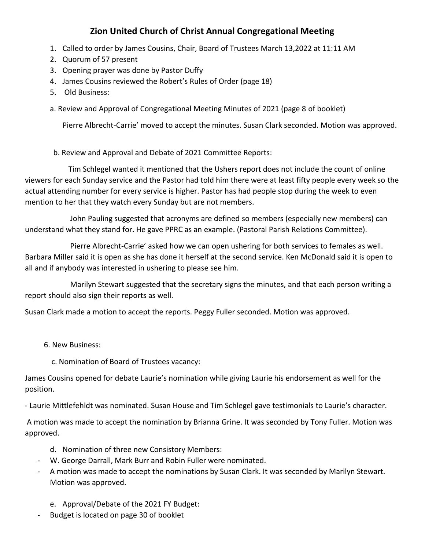## **Zion United Church of Christ Annual Congregational Meeting**

- 1. Called to order by James Cousins, Chair, Board of Trustees March 13,2022 at 11:11 AM
- 2. Quorum of 57 present
- 3. Opening prayer was done by Pastor Duffy
- 4. James Cousins reviewed the Robert's Rules of Order (page 18)
- 5. Old Business:
- a. Review and Approval of Congregational Meeting Minutes of 2021 (page 8 of booklet)

Pierre Albrecht-Carrie' moved to accept the minutes. Susan Clark seconded. Motion was approved.

b. Review and Approval and Debate of 2021 Committee Reports:

 Tim Schlegel wanted it mentioned that the Ushers report does not include the count of online viewers for each Sunday service and the Pastor had told him there were at least fifty people every week so the actual attending number for every service is higher. Pastor has had people stop during the week to even mention to her that they watch every Sunday but are not members.

 John Pauling suggested that acronyms are defined so members (especially new members) can understand what they stand for. He gave PPRC as an example. (Pastoral Parish Relations Committee).

 Pierre Albrecht-Carrie' asked how we can open ushering for both services to females as well. Barbara Miller said it is open as she has done it herself at the second service. Ken McDonald said it is open to all and if anybody was interested in ushering to please see him.

 Marilyn Stewart suggested that the secretary signs the minutes, and that each person writing a report should also sign their reports as well.

Susan Clark made a motion to accept the reports. Peggy Fuller seconded. Motion was approved.

6. New Business:

c. Nomination of Board of Trustees vacancy:

James Cousins opened for debate Laurie's nomination while giving Laurie his endorsement as well for the position.

- Laurie Mittlefehldt was nominated. Susan House and Tim Schlegel gave testimonials to Laurie's character.

A motion was made to accept the nomination by Brianna Grine. It was seconded by Tony Fuller. Motion was approved.

- d. Nomination of three new Consistory Members:
- W. George Darrall, Mark Burr and Robin Fuller were nominated.
- A motion was made to accept the nominations by Susan Clark. It was seconded by Marilyn Stewart. Motion was approved.
	- e. Approval/Debate of the 2021 FY Budget:
- Budget is located on page 30 of booklet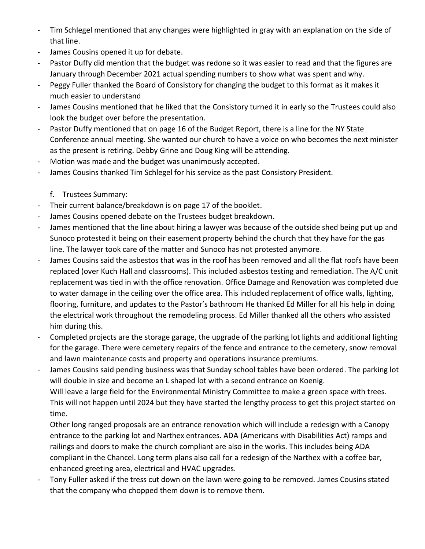- Tim Schlegel mentioned that any changes were highlighted in gray with an explanation on the side of that line.
- James Cousins opened it up for debate.
- Pastor Duffy did mention that the budget was redone so it was easier to read and that the figures are January through December 2021 actual spending numbers to show what was spent and why.
- Peggy Fuller thanked the Board of Consistory for changing the budget to this format as it makes it much easier to understand
- James Cousins mentioned that he liked that the Consistory turned it in early so the Trustees could also look the budget over before the presentation.
- Pastor Duffy mentioned that on page 16 of the Budget Report, there is a line for the NY State Conference annual meeting. She wanted our church to have a voice on who becomes the next minister as the present is retiring. Debby Grine and Doug King will be attending.
- Motion was made and the budget was unanimously accepted.
- James Cousins thanked Tim Schlegel for his service as the past Consistory President.
	- f. Trustees Summary:
- Their current balance/breakdown is on page 17 of the booklet.
- James Cousins opened debate on the Trustees budget breakdown.
- James mentioned that the line about hiring a lawyer was because of the outside shed being put up and Sunoco protested it being on their easement property behind the church that they have for the gas line. The lawyer took care of the matter and Sunoco has not protested anymore.
- James Cousins said the asbestos that was in the roof has been removed and all the flat roofs have been replaced (over Kuch Hall and classrooms). This included asbestos testing and remediation. The A/C unit replacement was tied in with the office renovation. Office Damage and Renovation was completed due to water damage in the ceiling over the office area. This included replacement of office walls, lighting, flooring, furniture, and updates to the Pastor's bathroom He thanked Ed Miller for all his help in doing the electrical work throughout the remodeling process. Ed Miller thanked all the others who assisted him during this.
- Completed projects are the storage garage, the upgrade of the parking lot lights and additional lighting for the garage. There were cemetery repairs of the fence and entrance to the cemetery, snow removal and lawn maintenance costs and property and operations insurance premiums.
- James Cousins said pending business was that Sunday school tables have been ordered. The parking lot will double in size and become an L shaped lot with a second entrance on Koenig. Will leave a large field for the Environmental Ministry Committee to make a green space with trees. This will not happen until 2024 but they have started the lengthy process to get this project started on time.

Other long ranged proposals are an entrance renovation which will include a redesign with a Canopy entrance to the parking lot and Narthex entrances. ADA (Americans with Disabilities Act) ramps and railings and doors to make the church compliant are also in the works. This includes being ADA compliant in the Chancel. Long term plans also call for a redesign of the Narthex with a coffee bar, enhanced greeting area, electrical and HVAC upgrades.

Tony Fuller asked if the tress cut down on the lawn were going to be removed. James Cousins stated that the company who chopped them down is to remove them.